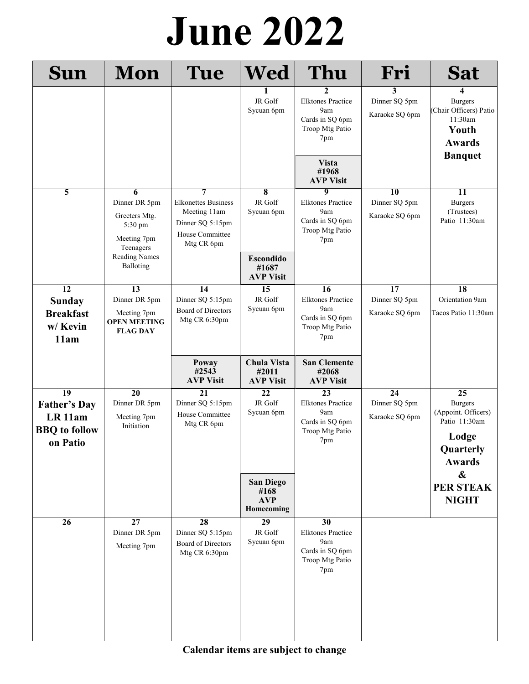## **El Cajon Elks #1812** Page 1 **June 2022**

| <b>Sun</b>                                                                                       | <b>Mon</b>                                                                                | Tue                                                                                                  | <b>Wed</b>                                           | Thu                                                                                             | Fri                                                | Sat                                                                                                              |
|--------------------------------------------------------------------------------------------------|-------------------------------------------------------------------------------------------|------------------------------------------------------------------------------------------------------|------------------------------------------------------|-------------------------------------------------------------------------------------------------|----------------------------------------------------|------------------------------------------------------------------------------------------------------------------|
|                                                                                                  |                                                                                           |                                                                                                      | JR Golf<br>Sycuan 6pm                                | 2<br><b>Elktones Practice</b><br>9am<br>Cards in SQ 6pm<br>Troop Mtg Patio<br>7pm               | 3<br>Dinner SQ 5pm<br>Karaoke SQ 6pm               | 4<br><b>Burgers</b><br>(Chair Officers) Patio<br>11:30am<br>Youth<br><b>Awards</b><br><b>Banquet</b>             |
|                                                                                                  |                                                                                           |                                                                                                      |                                                      | <b>Vista</b><br>#1968<br><b>AVP Visit</b>                                                       |                                                    |                                                                                                                  |
| 5                                                                                                | 6<br>Dinner DR 5pm<br>Greeters Mtg.<br>5:30 pm<br>Meeting 7pm<br>Teenagers                | 7<br><b>Elkonettes Business</b><br>Meeting 11am<br>Dinner SQ 5:15pm<br>House Committee<br>Mtg CR 6pm | $\overline{\bf 8}$<br>JR Golf<br>Sycuan 6pm          | $\overline{9}$<br><b>Elktones Practice</b><br>9am<br>Cards in SQ 6pm<br>Troop Mtg Patio<br>7pm  | $\overline{10}$<br>Dinner SQ 5pm<br>Karaoke SQ 6pm | 11<br><b>Burgers</b><br>(Trustees)<br>Patio 11:30am                                                              |
|                                                                                                  | <b>Reading Names</b><br>Balloting                                                         |                                                                                                      | <b>Escondido</b><br>#1687<br><b>AVP Visit</b>        |                                                                                                 |                                                    |                                                                                                                  |
| $\overline{12}$<br><b>Sunday</b><br><b>Breakfast</b><br>w/ Kevin<br>11am                         | $\overline{13}$<br>Dinner DR 5pm<br>Meeting 7pm<br><b>OPEN MEETING</b><br><b>FLAG DAY</b> | $\overline{14}$<br>Dinner SQ 5:15pm<br><b>Board of Directors</b><br>Mtg CR 6:30pm                    | 15<br>JR Golf<br>Sycuan 6pm                          | $\overline{16}$<br><b>Elktones Practice</b><br>9am<br>Cards in SQ 6pm<br>Troop Mtg Patio<br>7pm | $\overline{17}$<br>Dinner SQ 5pm<br>Karaoke SQ 6pm | $\overline{18}$<br>Orientation 9am<br>Tacos Patio 11:30am                                                        |
|                                                                                                  |                                                                                           | Poway<br>#2543<br><b>AVP Visit</b>                                                                   | Chula Vista<br>#2011<br><b>AVP Visit</b>             | <b>San Clemente</b><br>#2068<br><b>AVP Visit</b>                                                |                                                    |                                                                                                                  |
| $\overline{19}$<br><b>Father's Day</b><br>LR <sub>11am</sub><br><b>BBQ</b> to follow<br>on Patio | $\overline{20}$<br>Dinner DR 5pm<br>Meeting 7pm<br>Initiation                             | $\overline{21}$<br>Dinner SQ 5:15pm<br>House Committee<br>Mtg CR 6pm                                 | 22<br>JR Golf<br>Sycuan 6pm                          | $\overline{23}$<br><b>Elktones Practice</b><br>9am<br>Cards in SQ 6pm<br>Troop Mtg Patio<br>7pm | $\overline{24}$<br>Dinner SQ 5pm<br>Karaoke SQ 6pm | $\overline{25}$<br><b>Burgers</b><br>(Appoint. Officers)<br>Patio 11:30am<br>Lodge<br>Quarterly<br><b>Awards</b> |
|                                                                                                  |                                                                                           |                                                                                                      | <b>San Diego</b><br>#168<br><b>AVP</b><br>Homecoming |                                                                                                 |                                                    | $\boldsymbol{\&}$<br><b>PER STEAK</b><br><b>NIGHT</b>                                                            |
| 26                                                                                               | $\overline{27}$<br>Dinner DR 5pm<br>Meeting 7pm                                           | 28<br>Dinner SQ 5:15pm<br><b>Board of Directors</b><br>Mtg CR 6:30pm                                 | $\overline{29}$<br>JR Golf<br>Sycuan 6pm             | 30<br><b>Elktones Practice</b><br>9am<br>Cards in SQ 6pm<br>Troop Mtg Patio<br>7pm              |                                                    |                                                                                                                  |

*The faults of our Members we write upon the sand, their virtues upon the tablets of love and memory* **Calendar items are subject to change**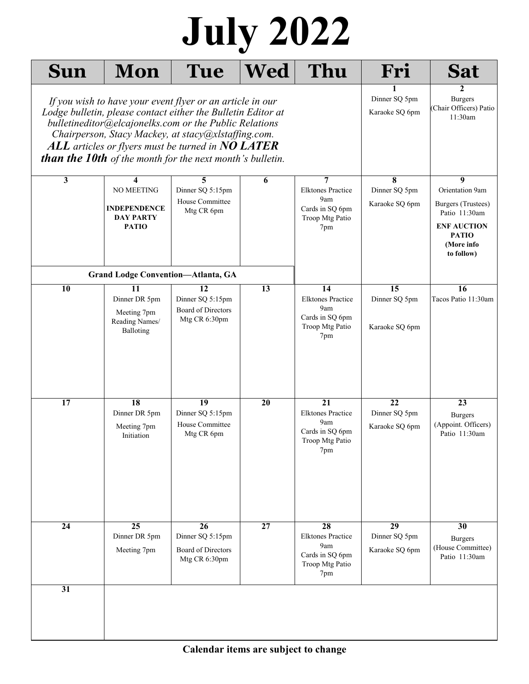## Page 2 **El Cajon Elks #1812 July 2022**

| <b>Sun</b>                                                                                                                                                                                                                                                                                                                                                                                                                                                      | Mon                                                                        | Tue                                                                        | <b>Wed</b> | Thu                                                                                | Fri                                   | <b>Sat</b>                                                                                                                    |
|-----------------------------------------------------------------------------------------------------------------------------------------------------------------------------------------------------------------------------------------------------------------------------------------------------------------------------------------------------------------------------------------------------------------------------------------------------------------|----------------------------------------------------------------------------|----------------------------------------------------------------------------|------------|------------------------------------------------------------------------------------|---------------------------------------|-------------------------------------------------------------------------------------------------------------------------------|
| Dinner SQ 5pm<br><b>Burgers</b><br>If you wish to have your event flyer or an article in our<br>(Chair Officers) Patio<br>Lodge bulletin, please contact either the Bulletin Editor at<br>Karaoke SQ 6pm<br>11:30am<br>bulletineditor@elcajonelks.com or the Public Relations<br>Chairperson, Stacy Mackey, at stacy@xlstaffing.com.<br>ALL articles or flyers must be turned in $NO$ LATER<br><b>than the 10th</b> of the month for the next month's bulletin. |                                                                            |                                                                            |            |                                                                                    |                                       |                                                                                                                               |
| $\overline{\mathbf{3}}$                                                                                                                                                                                                                                                                                                                                                                                                                                         | 4<br>NO MEETING<br><b>INDEPENDENCE</b><br><b>DAY PARTY</b><br><b>PATIO</b> | 5<br>Dinner SQ 5:15pm<br>House Committee<br>Mtg CR 6pm                     | 6          | 7<br><b>Elktones Practice</b><br>9am<br>Cards in SQ 6pm<br>Troop Mtg Patio<br>7pm  | 8<br>Dinner SQ 5pm<br>Karaoke SQ 6pm  | 9<br>Orientation 9am<br>Burgers (Trustees)<br>Patio 11:30am<br><b>ENF AUCTION</b><br><b>PATIO</b><br>(More info<br>to follow) |
|                                                                                                                                                                                                                                                                                                                                                                                                                                                                 | <b>Grand Lodge Convention-Atlanta, GA</b>                                  |                                                                            |            |                                                                                    |                                       |                                                                                                                               |
| $\overline{10}$                                                                                                                                                                                                                                                                                                                                                                                                                                                 | 11<br>Dinner DR 5pm<br>Meeting 7pm<br>Reading Names/<br>Balloting          | $\overline{12}$<br>Dinner SQ 5:15pm<br>Board of Directors<br>Mtg CR 6:30pm | 13         | 14<br><b>Elktones Practice</b><br>9am<br>Cards in SQ 6pm<br>Troop Mtg Patio<br>7pm | 15<br>Dinner SQ 5pm<br>Karaoke SQ 6pm | 16<br>Tacos Patio 11:30am                                                                                                     |
| $\overline{17}$                                                                                                                                                                                                                                                                                                                                                                                                                                                 | 18<br>Dinner DR 5pm<br>Meeting 7pm<br>Initiation                           | 19<br>Dinner SQ 5:15pm<br>House Committee<br>Mtg CR 6pm                    | 20         | 21<br><b>Elktones Practice</b><br>9am<br>Cards in SQ 6pm<br>Troop Mtg Patio<br>7pm | 22<br>Dinner SQ 5pm<br>Karaoke SQ 6pm | 23<br><b>Burgers</b><br>(Appoint. Officers)<br>Patio 11:30am                                                                  |
| $\overline{24}$                                                                                                                                                                                                                                                                                                                                                                                                                                                 | $\overline{25}$<br>Dinner DR 5pm<br>Meeting 7pm                            | 26<br>Dinner SQ 5:15pm<br><b>Board of Directors</b><br>Mtg CR 6:30pm       | 27         | 28<br><b>Elktones Practice</b><br>9am<br>Cards in SQ 6pm<br>Troop Mtg Patio<br>7pm | 29<br>Dinner SQ 5pm<br>Karaoke SQ 6pm | $\overline{30}$<br><b>Burgers</b><br>(House Committee)<br>Patio 11:30am                                                       |
| 31                                                                                                                                                                                                                                                                                                                                                                                                                                                              |                                                                            |                                                                            |            |                                                                                    |                                       |                                                                                                                               |